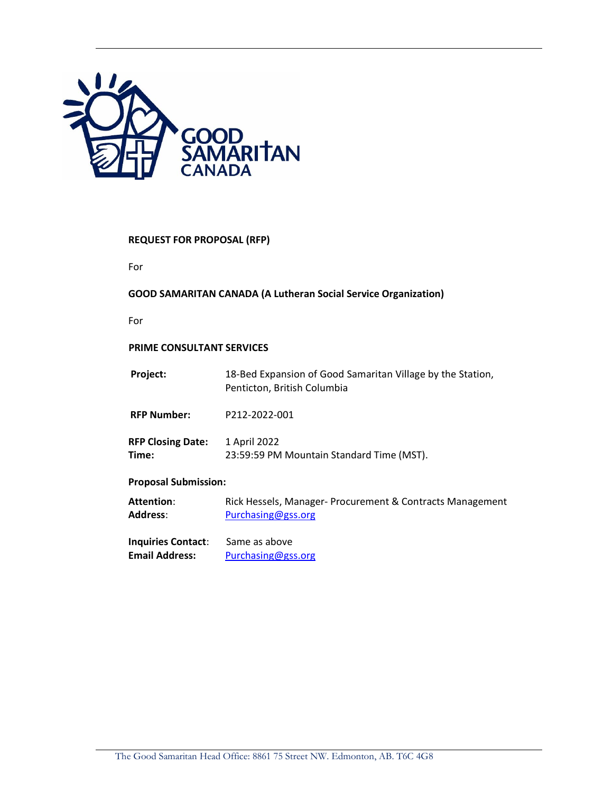

# **REQUEST FOR PROPOSAL (RFP)**

For

### **GOOD SAMARITAN CANADA (A Lutheran Social Service Organization)**

For

# **PRIME CONSULTANT SERVICES**

| Project:                          | 18-Bed Expansion of Good Samaritan Village by the Station,<br>Penticton, British Columbia |  |  |
|-----------------------------------|-------------------------------------------------------------------------------------------|--|--|
| <b>RFP Number:</b>                | P212-2022-001                                                                             |  |  |
| <b>RFP Closing Date:</b><br>Time: | 1 April 2022<br>23:59:59 PM Mountain Standard Time (MST).                                 |  |  |
| <b>Proposal Submission:</b>       |                                                                                           |  |  |
| <b>Attention:</b><br>Address:     | Rick Hessels, Manager- Procurement & Contracts Management<br>Purchasing@gss.org           |  |  |
| <b>Inquiries Contact:</b>         | Same as above                                                                             |  |  |

**Email Address:** [Purchasing@gss.org](mailto:Purchasing@gss.org)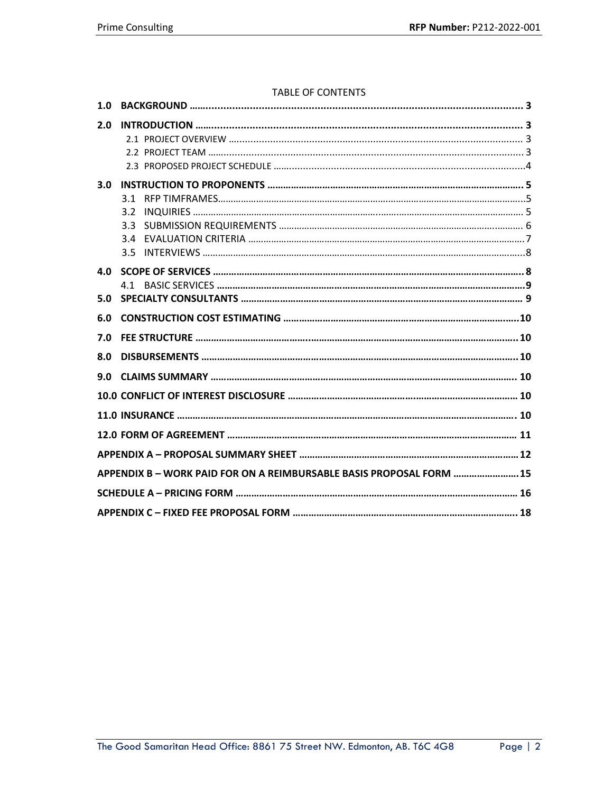### TABLE OF CONTENTS

| 1.0 |                                                                      |  |
|-----|----------------------------------------------------------------------|--|
| 2.0 |                                                                      |  |
| 3.0 | 31<br>3.2<br>3.3<br>3.4<br>3.5                                       |  |
| 4.0 |                                                                      |  |
| 5.0 | 4.1                                                                  |  |
|     |                                                                      |  |
|     |                                                                      |  |
| 6.0 |                                                                      |  |
| 7.0 |                                                                      |  |
| 8.0 |                                                                      |  |
| 9.0 |                                                                      |  |
|     |                                                                      |  |
|     |                                                                      |  |
|     |                                                                      |  |
|     |                                                                      |  |
|     | APPENDIX B - WORK PAID FOR ON A REIMBURSABLE BASIS PROPOSAL FORM  15 |  |
|     |                                                                      |  |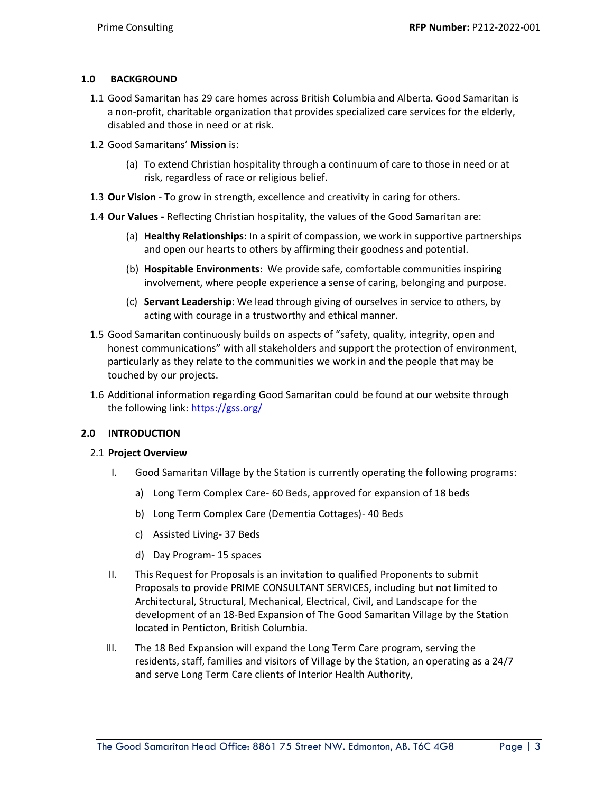# **1.0 BACKGROUND**

- 1.1 Good Samaritan has 29 care homes across British Columbia and Alberta. Good Samaritan is a non-profit, charitable organization that provides specialized care services for the elderly, disabled and those in need or at risk.
- 1.2 Good Samaritans' **Mission** is:
	- (a) To extend Christian hospitality through a continuum of care to those in need or at risk, regardless of race or religious belief.
- 1.3 **Our Vision** To grow in strength, excellence and creativity in caring for others.
- 1.4 **Our Values -** Reflecting Christian hospitality, the values of the Good Samaritan are:
	- (a) **Healthy Relationships**: In a spirit of compassion, we work in supportive partnerships and open our hearts to others by affirming their goodness and potential.
	- (b) **Hospitable Environments**: We provide safe, comfortable communities inspiring involvement, where people experience a sense of caring, belonging and purpose.
	- (c) **Servant Leadership**: We lead through giving of ourselves in service to others, by acting with courage in a trustworthy and ethical manner.
- 1.5 Good Samaritan continuously builds on aspects of "safety, quality, integrity, open and honest communications" with all stakeholders and support the protection of environment, particularly as they relate to the communities we work in and the people that may be touched by our projects.
- 1.6 Additional information regarding Good Samaritan could be found at our website through the following link:<https://gss.org/>

# **2.0 INTRODUCTION**

# 2.1 **Project Overview**

- I. Good Samaritan Village by the Station is currently operating the following programs:
	- a) Long Term Complex Care- 60 Beds, approved for expansion of 18 beds
	- b) Long Term Complex Care (Dementia Cottages)- 40 Beds
	- c) Assisted Living- 37 Beds
	- d) Day Program- 15 spaces
- II. This Request for Proposals is an invitation to qualified Proponents to submit Proposals to provide PRIME CONSULTANT SERVICES, including but not limited to Architectural, Structural, Mechanical, Electrical, Civil, and Landscape for the development of an 18-Bed Expansion of The Good Samaritan Village by the Station located in Penticton, British Columbia.
- III. The 18 Bed Expansion will expand the Long Term Care program, serving the residents, staff, families and visitors of Village by the Station, an operating as a 24/7 and serve Long Term Care clients of Interior Health Authority,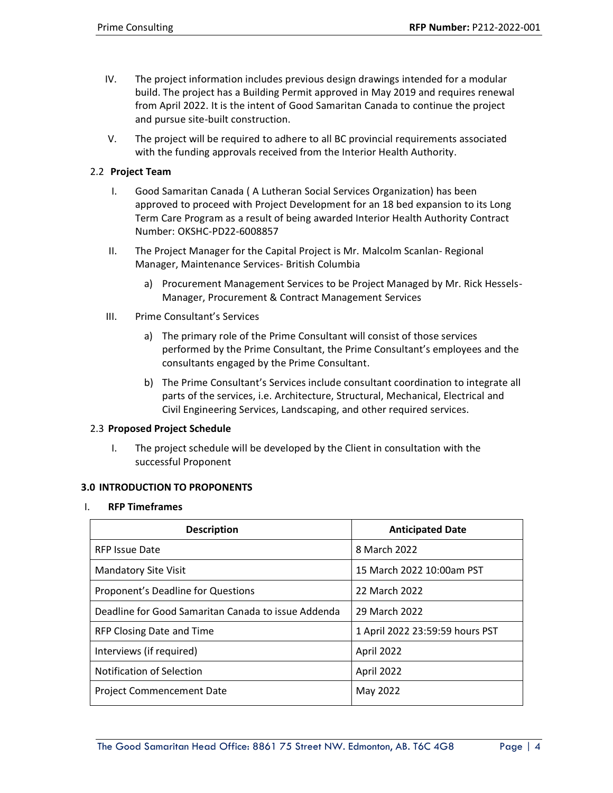- IV. The project information includes previous design drawings intended for a modular build. The project has a Building Permit approved in May 2019 and requires renewal from April 2022. It is the intent of Good Samaritan Canada to continue the project and pursue site-built construction.
- V. The project will be required to adhere to all BC provincial requirements associated with the funding approvals received from the Interior Health Authority.

# 2.2 **Project Team**

- I. Good Samaritan Canada ( A Lutheran Social Services Organization) has been approved to proceed with Project Development for an 18 bed expansion to its Long Term Care Program as a result of being awarded Interior Health Authority Contract Number: OKSHC-PD22-6008857
- II. The Project Manager for the Capital Project is Mr. Malcolm Scanlan- Regional Manager, Maintenance Services- British Columbia
	- a) Procurement Management Services to be Project Managed by Mr. Rick Hessels-Manager, Procurement & Contract Management Services
- III. Prime Consultant's Services
	- a) The primary role of the Prime Consultant will consist of those services performed by the Prime Consultant, the Prime Consultant's employees and the consultants engaged by the Prime Consultant.
	- b) The Prime Consultant's Services include consultant coordination to integrate all parts of the services, i.e. Architecture, Structural, Mechanical, Electrical and Civil Engineering Services, Landscaping, and other required services.

### 2.3 **Proposed Project Schedule**

I. The project schedule will be developed by the Client in consultation with the successful Proponent

# **3.0 INTRODUCTION TO PROPONENTS**

#### I. **RFP Timeframes**

| <b>Description</b>                                  | <b>Anticipated Date</b>         |
|-----------------------------------------------------|---------------------------------|
| <b>RFP Issue Date</b>                               | 8 March 2022                    |
| <b>Mandatory Site Visit</b>                         | 15 March 2022 10:00am PST       |
| Proponent's Deadline for Questions                  | 22 March 2022                   |
| Deadline for Good Samaritan Canada to issue Addenda | 29 March 2022                   |
| RFP Closing Date and Time                           | 1 April 2022 23:59:59 hours PST |
| Interviews (if required)                            | April 2022                      |
| Notification of Selection                           | April 2022                      |
| <b>Project Commencement Date</b>                    | May 2022                        |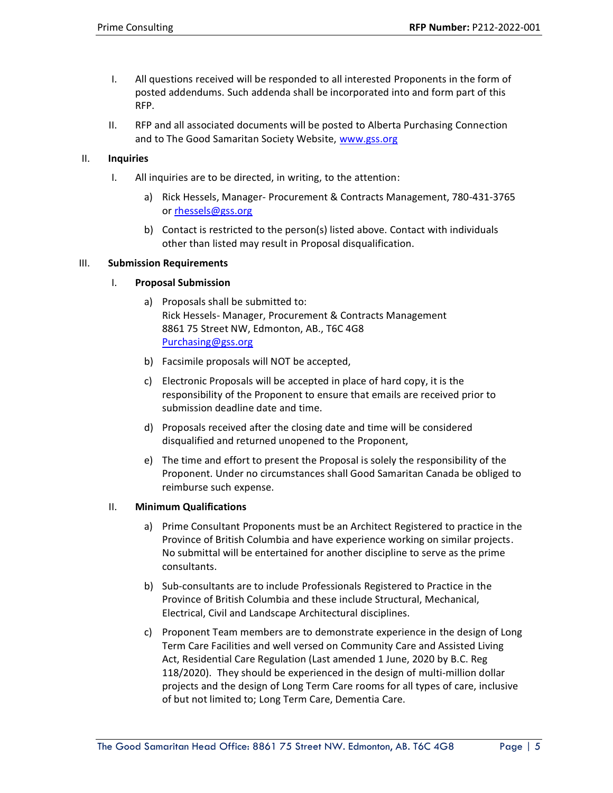- I. All questions received will be responded to all interested Proponents in the form of posted addendums. Such addenda shall be incorporated into and form part of this RFP.
- II. RFP and all associated documents will be posted to Alberta Purchasing Connection and to The Good Samaritan Society Website, [www.gss.org](http://www.gss.org/)

### II. **Inquiries**

- I. All inquiries are to be directed, in writing, to the attention:
	- a) Rick Hessels, Manager- Procurement & Contracts Management, 780-431-3765 or [rhessels@gss.org](mailto:rhessels@gss.org)
	- b) Contact is restricted to the person(s) listed above. Contact with individuals other than listed may result in Proposal disqualification.

### III. **Submission Requirements**

### I. **Proposal Submission**

- a) Proposals shall be submitted to: Rick Hessels- Manager, Procurement & Contracts Management 8861 75 Street NW, Edmonton, AB., T6C 4G8 [Purchasing@gss.org](mailto:Purchasing@gss.org)
- b) Facsimile proposals will NOT be accepted,
- c) Electronic Proposals will be accepted in place of hard copy, it is the responsibility of the Proponent to ensure that emails are received prior to submission deadline date and time.
- d) Proposals received after the closing date and time will be considered disqualified and returned unopened to the Proponent,
- e) The time and effort to present the Proposal is solely the responsibility of the Proponent. Under no circumstances shall Good Samaritan Canada be obliged to reimburse such expense.

#### II. **Minimum Qualifications**

- a) Prime Consultant Proponents must be an Architect Registered to practice in the Province of British Columbia and have experience working on similar projects. No submittal will be entertained for another discipline to serve as the prime consultants.
- b) Sub-consultants are to include Professionals Registered to Practice in the Province of British Columbia and these include Structural, Mechanical, Electrical, Civil and Landscape Architectural disciplines.
- c) Proponent Team members are to demonstrate experience in the design of Long Term Care Facilities and well versed on Community Care and Assisted Living Act, Residential Care Regulation (Last amended 1 June, 2020 by B.C. Reg 118/2020). They should be experienced in the design of multi-million dollar projects and the design of Long Term Care rooms for all types of care, inclusive of but not limited to; Long Term Care, Dementia Care.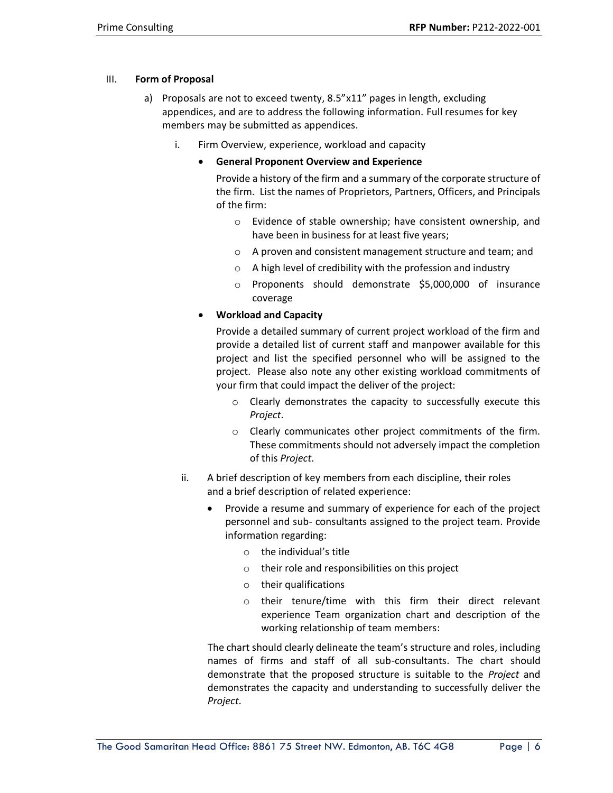### III. **Form of Proposal**

- a) Proposals are not to exceed twenty, 8.5"x11" pages in length, excluding appendices, and are to address the following information. Full resumes for key members may be submitted as appendices.
	- i. Firm Overview, experience, workload and capacity
		- **General Proponent Overview and Experience**
			- Provide a history of the firm and a summary of the corporate structure of the firm. List the names of Proprietors, Partners, Officers, and Principals of the firm:
				- o Evidence of stable ownership; have consistent ownership, and have been in business for at least five years;
				- o A proven and consistent management structure and team; and
				- $\circ$  A high level of credibility with the profession and industry
				- o Proponents should demonstrate \$5,000,000 of insurance coverage
		- **Workload and Capacity**

Provide a detailed summary of current project workload of the firm and provide a detailed list of current staff and manpower available for this project and list the specified personnel who will be assigned to the project. Please also note any other existing workload commitments of your firm that could impact the deliver of the project:

- o Clearly demonstrates the capacity to successfully execute this *Project*.
- o Clearly communicates other project commitments of the firm. These commitments should not adversely impact the completion of this *Project*.
- ii. A brief description of key members from each discipline, their roles and a brief description of related experience:
	- Provide a resume and summary of experience for each of the project personnel and sub- consultants assigned to the project team. Provide information regarding:
		- $\circ$  the individual's title
		- o their role and responsibilities on this project
		- o their qualifications
		- o their tenure/time with this firm their direct relevant experience Team organization chart and description of the working relationship of team members:

The chart should clearly delineate the team's structure and roles, including names of firms and staff of all sub-consultants. The chart should demonstrate that the proposed structure is suitable to the *Project* and demonstrates the capacity and understanding to successfully deliver the *Project*.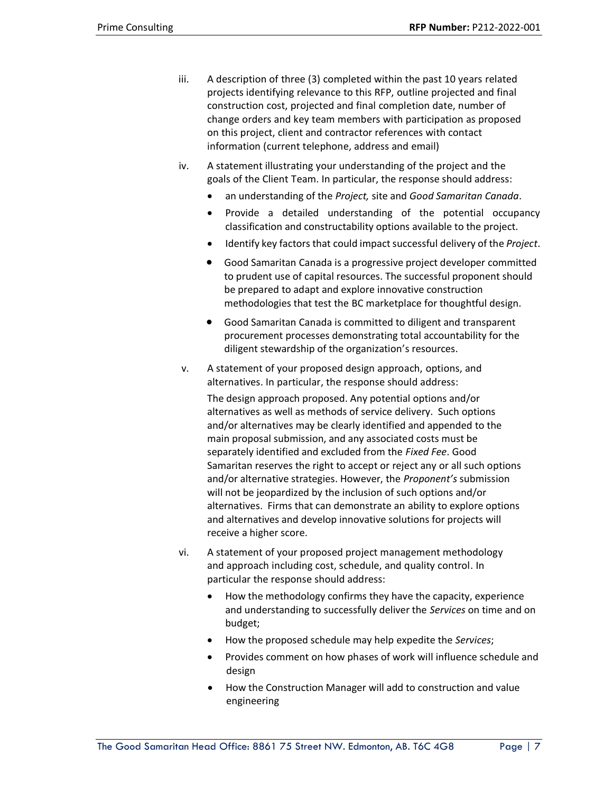- iii. A description of three (3) completed within the past 10 years related projects identifying relevance to this RFP, outline projected and final construction cost, projected and final completion date, number of change orders and key team members with participation as proposed on this project, client and contractor references with contact information (current telephone, address and email)
- iv. A statement illustrating your understanding of the project and the goals of the Client Team. In particular, the response should address:
	- an understanding of the *Project,* site and *Good Samaritan Canada*.
	- Provide a detailed understanding of the potential occupancy classification and constructability options available to the project.
	- Identify key factors that could impact successful delivery of the *Project*.
	- Good Samaritan Canada is a progressive project developer committed to prudent use of capital resources. The successful proponent should be prepared to adapt and explore innovative construction methodologies that test the BC marketplace for thoughtful design.
	- Good Samaritan Canada is committed to diligent and transparent procurement processes demonstrating total accountability for the diligent stewardship of the organization's resources.
- v. A statement of your proposed design approach, options, and alternatives. In particular, the response should address:

The design approach proposed. Any potential options and/or alternatives as well as methods of service delivery. Such options and/or alternatives may be clearly identified and appended to the main proposal submission, and any associated costs must be separately identified and excluded from the *Fixed Fee*. Good Samaritan reserves the right to accept or reject any or all such options and/or alternative strategies. However, the *Proponent's* submission will not be jeopardized by the inclusion of such options and/or alternatives. Firms that can demonstrate an ability to explore options and alternatives and develop innovative solutions for projects will receive a higher score.

- vi. A statement of your proposed project management methodology and approach including cost, schedule, and quality control. In particular the response should address:
	- How the methodology confirms they have the capacity, experience and understanding to successfully deliver the *Services* on time and on budget;
	- How the proposed schedule may help expedite the *Services*;
	- Provides comment on how phases of work will influence schedule and design
	- How the Construction Manager will add to construction and value engineering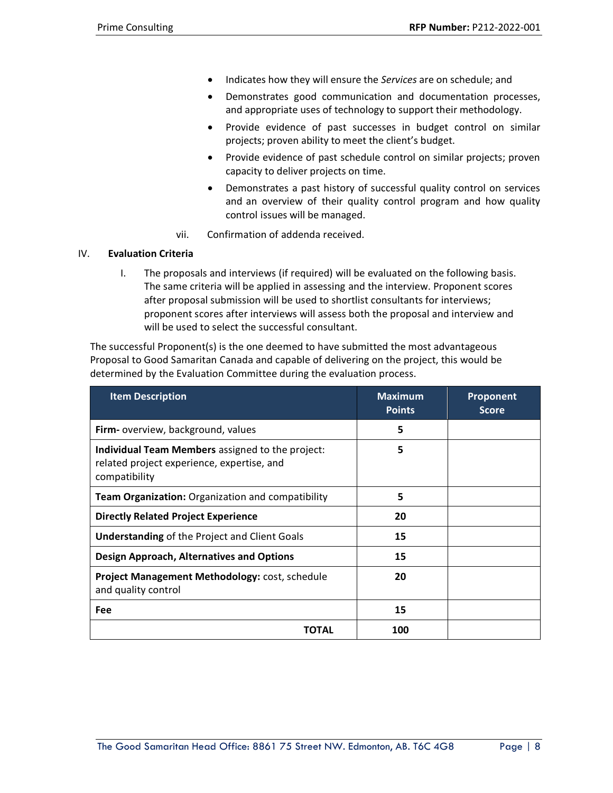- Indicates how they will ensure the *Services* are on schedule; and
- Demonstrates good communication and documentation processes, and appropriate uses of technology to support their methodology.
- Provide evidence of past successes in budget control on similar projects; proven ability to meet the client's budget.
- Provide evidence of past schedule control on similar projects; proven capacity to deliver projects on time.
- Demonstrates a past history of successful quality control on services and an overview of their quality control program and how quality control issues will be managed.
- vii. Confirmation of addenda received.

# IV. **Evaluation Criteria**

I. The proposals and interviews (if required) will be evaluated on the following basis. The same criteria will be applied in assessing and the interview. Proponent scores after proposal submission will be used to shortlist consultants for interviews; proponent scores after interviews will assess both the proposal and interview and will be used to select the successful consultant.

The successful Proponent(s) is the one deemed to have submitted the most advantageous Proposal to Good Samaritan Canada and capable of delivering on the project, this would be determined by the Evaluation Committee during the evaluation process.

| <b>Item Description</b>                                                                                         | <b>Maximum</b><br><b>Points</b> | Proponent<br><b>Score</b> |
|-----------------------------------------------------------------------------------------------------------------|---------------------------------|---------------------------|
| Firm- overview, background, values                                                                              | 5                               |                           |
| Individual Team Members assigned to the project:<br>related project experience, expertise, and<br>compatibility | 5                               |                           |
| Team Organization: Organization and compatibility                                                               | 5                               |                           |
| <b>Directly Related Project Experience</b>                                                                      | 20                              |                           |
| <b>Understanding of the Project and Client Goals</b>                                                            | 15                              |                           |
| <b>Design Approach, Alternatives and Options</b>                                                                | 15                              |                           |
| Project Management Methodology: cost, schedule<br>and quality control                                           | 20                              |                           |
| Fee                                                                                                             | 15                              |                           |
| ΤΟΤΑΙ                                                                                                           | 100                             |                           |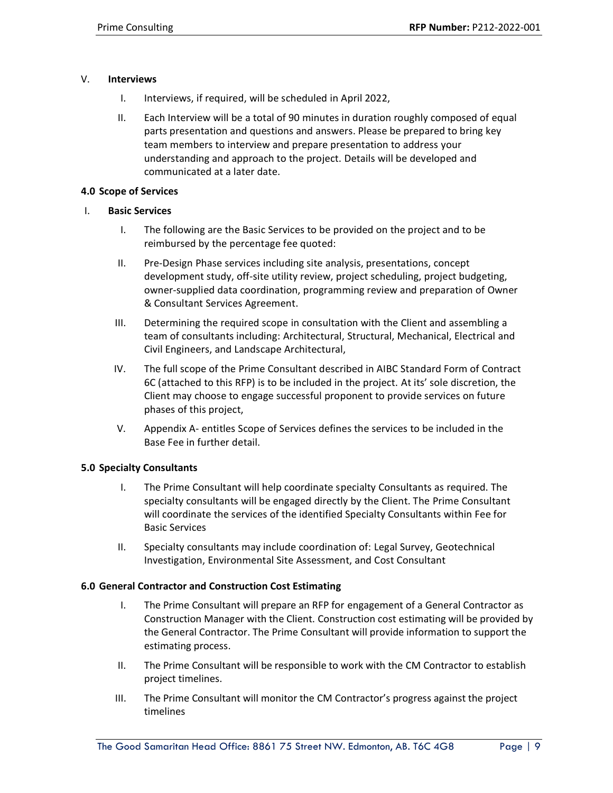### V. **Interviews**

- I. Interviews, if required, will be scheduled in April 2022,
- II. Each Interview will be a total of 90 minutes in duration roughly composed of equal parts presentation and questions and answers. Please be prepared to bring key team members to interview and prepare presentation to address your understanding and approach to the project. Details will be developed and communicated at a later date.

#### **4.0 Scope of Services**

### I. **Basic Services**

- I. The following are the Basic Services to be provided on the project and to be reimbursed by the percentage fee quoted:
- II. Pre-Design Phase services including site analysis, presentations, concept development study, off-site utility review, project scheduling, project budgeting, owner-supplied data coordination, programming review and preparation of Owner & Consultant Services Agreement.
- III. Determining the required scope in consultation with the Client and assembling a team of consultants including: Architectural, Structural, Mechanical, Electrical and Civil Engineers, and Landscape Architectural,
- IV. The full scope of the Prime Consultant described in AIBC Standard Form of Contract 6C (attached to this RFP) is to be included in the project. At its' sole discretion, the Client may choose to engage successful proponent to provide services on future phases of this project,
- V. Appendix A- entitles Scope of Services defines the services to be included in the Base Fee in further detail.

# **5.0 Specialty Consultants**

- I. The Prime Consultant will help coordinate specialty Consultants as required. The specialty consultants will be engaged directly by the Client. The Prime Consultant will coordinate the services of the identified Specialty Consultants within Fee for Basic Services
- II. Specialty consultants may include coordination of: Legal Survey, Geotechnical Investigation, Environmental Site Assessment, and Cost Consultant

#### **6.0 General Contractor and Construction Cost Estimating**

- I. The Prime Consultant will prepare an RFP for engagement of a General Contractor as Construction Manager with the Client. Construction cost estimating will be provided by the General Contractor. The Prime Consultant will provide information to support the estimating process.
- II. The Prime Consultant will be responsible to work with the CM Contractor to establish project timelines.
- III. The Prime Consultant will monitor the CM Contractor's progress against the project timelines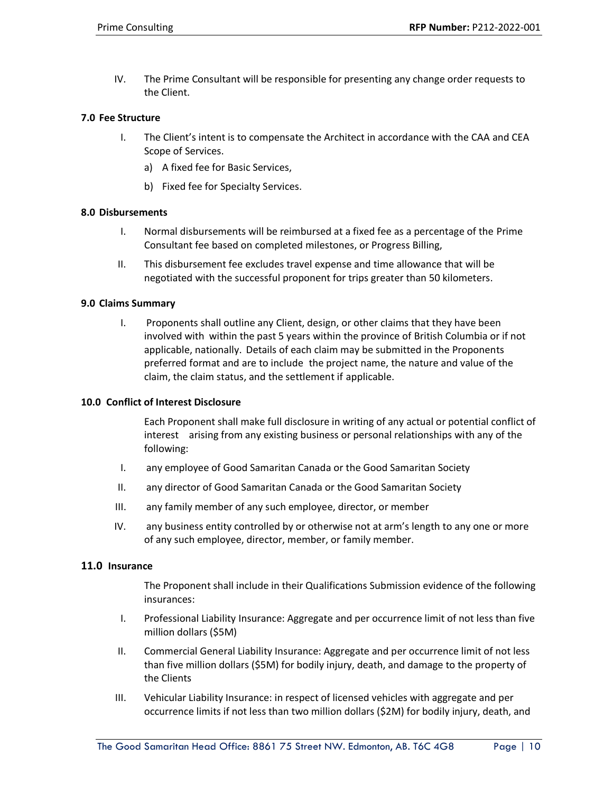IV. The Prime Consultant will be responsible for presenting any change order requests to the Client.

### **7.0 Fee Structure**

- I. The Client's intent is to compensate the Architect in accordance with the CAA and CEA Scope of Services.
	- a) A fixed fee for Basic Services,
	- b) Fixed fee for Specialty Services.

### **8.0 Disbursements**

- I. Normal disbursements will be reimbursed at a fixed fee as a percentage of the Prime Consultant fee based on completed milestones, or Progress Billing,
- II. This disbursement fee excludes travel expense and time allowance that will be negotiated with the successful proponent for trips greater than 50 kilometers.

#### **9.0 Claims Summary**

I. Proponents shall outline any Client, design, or other claims that they have been involved with within the past 5 years within the province of British Columbia or if not applicable, nationally. Details of each claim may be submitted in the Proponents preferred format and are to include the project name, the nature and value of the claim, the claim status, and the settlement if applicable.

#### **10.0 Conflict of Interest Disclosure**

Each Proponent shall make full disclosure in writing of any actual or potential conflict of interest arising from any existing business or personal relationships with any of the following:

- I. any employee of Good Samaritan Canada or the Good Samaritan Society
- II. any director of Good Samaritan Canada or the Good Samaritan Society
- III. any family member of any such employee, director, or member
- IV. any business entity controlled by or otherwise not at arm's length to any one or more of any such employee, director, member, or family member.

#### **11.0 Insurance**

The Proponent shall include in their Qualifications Submission evidence of the following insurances:

- I. Professional Liability Insurance: Aggregate and per occurrence limit of not less than five million dollars (\$5M)
- II. Commercial General Liability Insurance: Aggregate and per occurrence limit of not less than five million dollars (\$5M) for bodily injury, death, and damage to the property of the Clients
- III. Vehicular Liability Insurance: in respect of licensed vehicles with aggregate and per occurrence limits if not less than two million dollars (\$2M) for bodily injury, death, and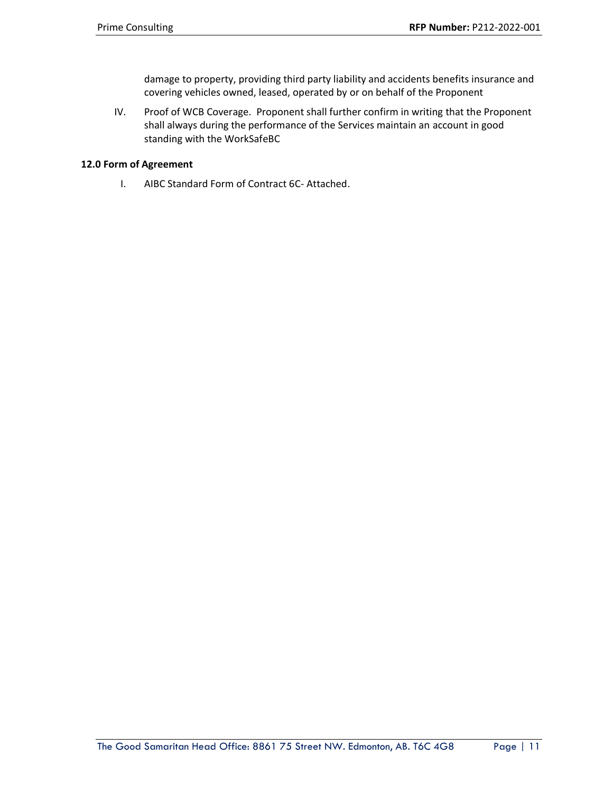damage to property, providing third party liability and accidents benefits insurance and covering vehicles owned, leased, operated by or on behalf of the Proponent

IV. Proof of WCB Coverage. Proponent shall further confirm in writing that the Proponent shall always during the performance of the Services maintain an account in good standing with the WorkSafeBC

# **12.0 Form of Agreement**

I. AIBC Standard Form of Contract 6C- Attached.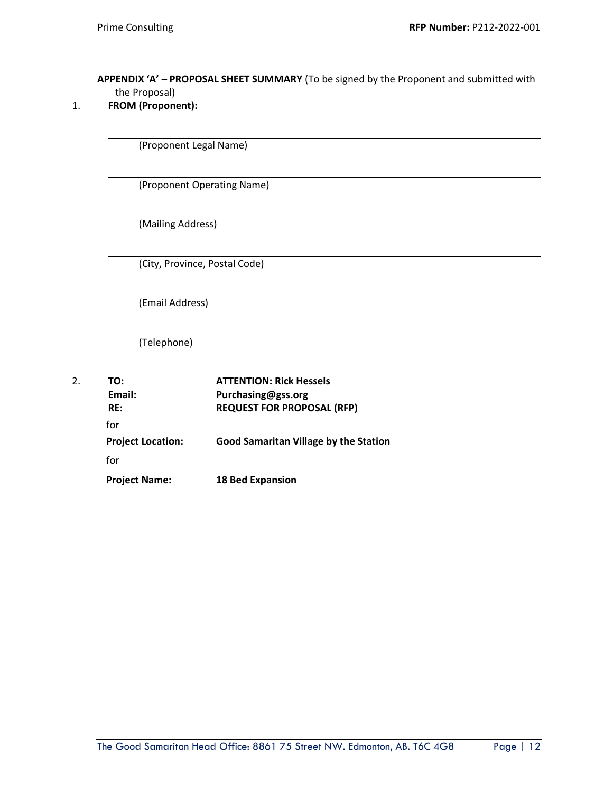# **APPENDIX 'A' – PROPOSAL SHEET SUMMARY** (To be signed by the Proponent and submitted with the Proposal)

| 1. |  | <b>FROM (Proponent):</b> |
|----|--|--------------------------|
|----|--|--------------------------|

(Proponent Legal Name)

(Proponent Operating Name)

(Mailing Address)

(City, Province, Postal Code)

(Email Address)

(Telephone)

| 2. | TO:                      | <b>ATTENTION: Rick Hessels</b>               |
|----|--------------------------|----------------------------------------------|
|    | Email:                   | Purchasing@gss.org                           |
|    | RE:                      | <b>REQUEST FOR PROPOSAL (RFP)</b>            |
|    | for                      |                                              |
|    | <b>Project Location:</b> | <b>Good Samaritan Village by the Station</b> |
|    | for                      |                                              |
|    | <b>Project Name:</b>     | <b>18 Bed Expansion</b>                      |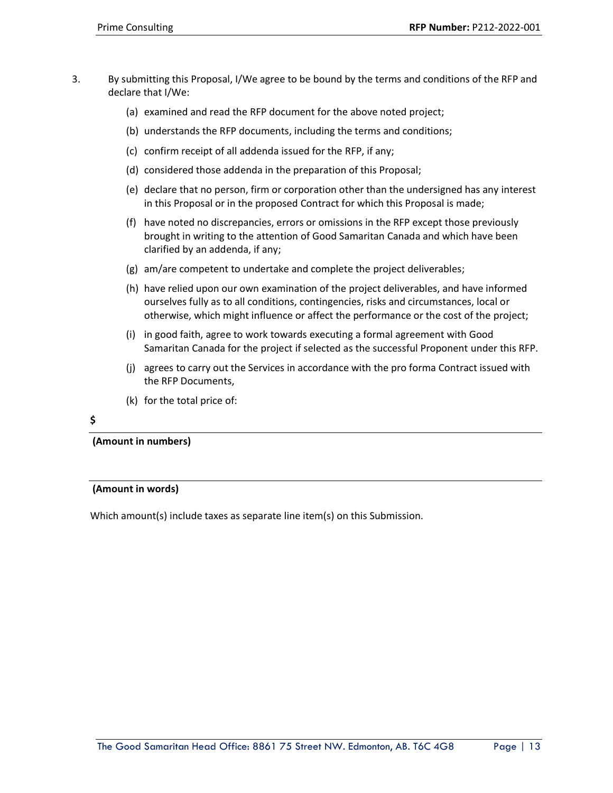- 3. By submitting this Proposal, I/We agree to be bound by the terms and conditions of the RFP and declare that I/We:
	- (a) examined and read the RFP document for the above noted project;
	- (b) understands the RFP documents, including the terms and conditions;
	- (c) confirm receipt of all addenda issued for the RFP, if any;
	- (d) considered those addenda in the preparation of this Proposal;
	- (e) declare that no person, firm or corporation other than the undersigned has any interest in this Proposal or in the proposed Contract for which this Proposal is made;
	- (f) have noted no discrepancies, errors or omissions in the RFP except those previously brought in writing to the attention of Good Samaritan Canada and which have been clarified by an addenda, if any;
	- (g) am/are competent to undertake and complete the project deliverables;
	- (h) have relied upon our own examination of the project deliverables, and have informed ourselves fully as to all conditions, contingencies, risks and circumstances, local or otherwise, which might influence or affect the performance or the cost of the project;
	- (i) in good faith, agree to work towards executing a formal agreement with Good Samaritan Canada for the project if selected as the successful Proponent under this RFP.
	- (j) agrees to carry out the Services in accordance with the pro forma Contract issued with the RFP Documents,
	- (k) for the total price of:

### **\$**

**(Amount in numbers)**

#### **(Amount in words)**

Which amount(s) include taxes as separate line item(s) on this Submission.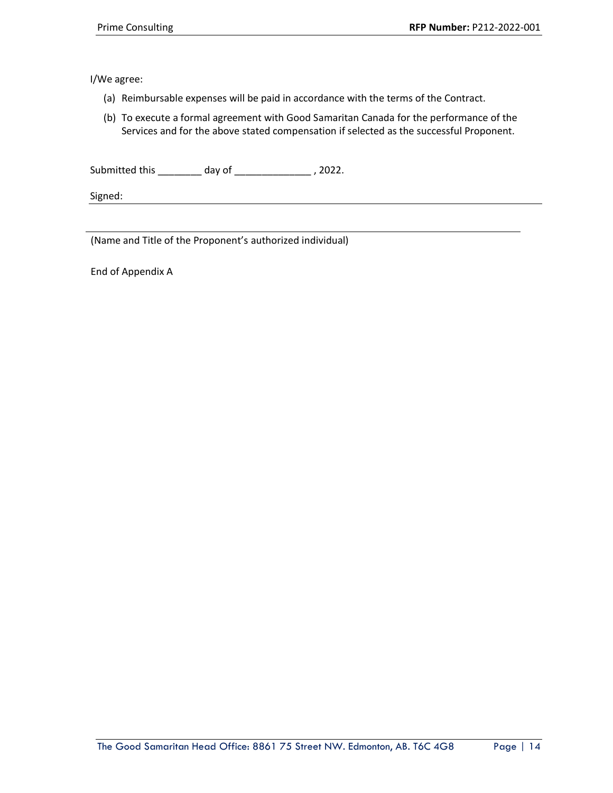I/We agree:

- (a) Reimbursable expenses will be paid in accordance with the terms of the Contract.
- (b) To execute a formal agreement with Good Samaritan Canada for the performance of the Services and for the above stated compensation if selected as the successful Proponent.

Submitted this \_\_\_\_\_\_\_\_ day of \_\_\_\_\_\_\_\_\_\_\_\_\_\_ , 2022.

Signed:

(Name and Title of the Proponent's authorized individual)

End of Appendix A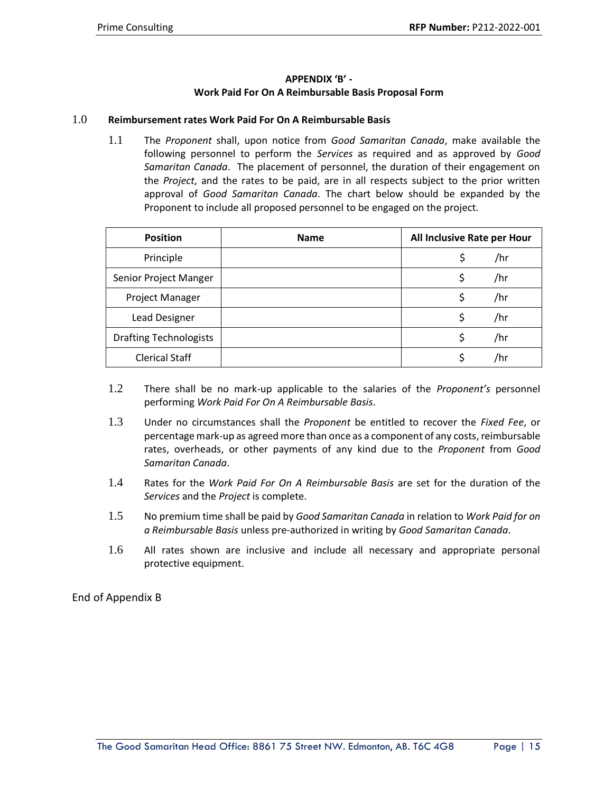# **APPENDIX 'B' - Work Paid For On A Reimbursable Basis Proposal Form**

### 1.0 **Reimbursement rates Work Paid For On A Reimbursable Basis**

1.1 The *Proponent* shall, upon notice from *Good Samaritan Canada*, make available the following personnel to perform the *Services* as required and as approved by *Good Samaritan Canada*. The placement of personnel, the duration of their engagement on the *Project*, and the rates to be paid, are in all respects subject to the prior written approval of *Good Samaritan Canada*. The chart below should be expanded by the Proponent to include all proposed personnel to be engaged on the project.

| <b>Position</b>               | <b>Name</b> | All Inclusive Rate per Hour |
|-------------------------------|-------------|-----------------------------|
| Principle                     |             | \$<br>/hr                   |
| Senior Project Manger         |             | \$<br>/hr                   |
| Project Manager               |             | \$<br>/hr                   |
| Lead Designer                 |             | /hr                         |
| <b>Drafting Technologists</b> |             | Ś<br>/hr                    |
| <b>Clerical Staff</b>         |             | /hr                         |

- 1.2 There shall be no mark-up applicable to the salaries of the *Proponent's* personnel performing *Work Paid For On A Reimbursable Basis*.
- 1.3 Under no circumstances shall the *Proponent* be entitled to recover the *Fixed Fee*, or percentage mark-up as agreed more than once as a component of any costs, reimbursable rates, overheads, or other payments of any kind due to the *Proponent* from *Good Samaritan Canada*.
- 1.4 Rates for the *Work Paid For On A Reimbursable Basis* are set for the duration of the *Services* and the *Project* is complete.
- 1.5 No premium time shall be paid by *Good Samaritan Canada* in relation to *Work Paid for on a Reimbursable Basis* unless pre-authorized in writing by *Good Samaritan Canada*.
- 1.6 All rates shown are inclusive and include all necessary and appropriate personal protective equipment.

End of Appendix B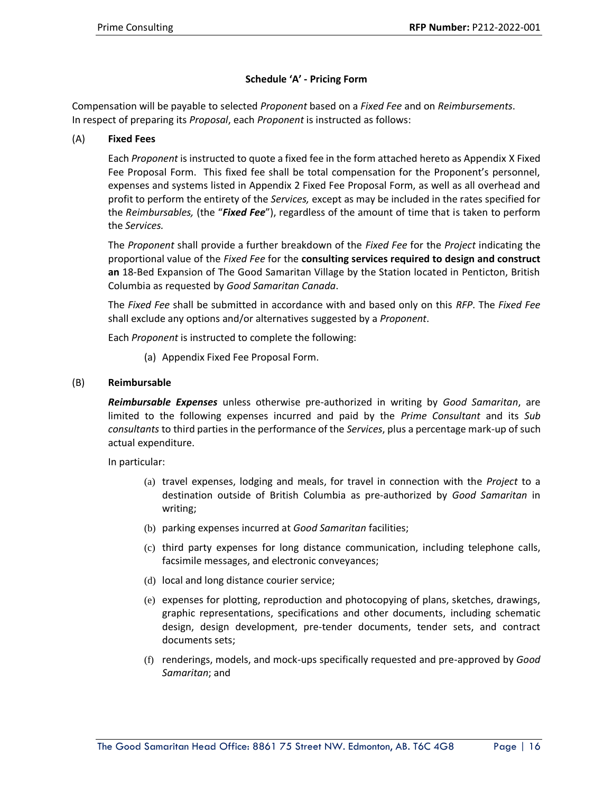# **Schedule 'A' - Pricing Form**

Compensation will be payable to selected *Proponent* based on a *Fixed Fee* and on *Reimbursements*. In respect of preparing its *Proposal*, each *Proponent* is instructed as follows:

# (A) **Fixed Fees**

Each *Proponent* is instructed to quote a fixed fee in the form attached hereto as Appendix X Fixed Fee Proposal Form. This fixed fee shall be total compensation for the Proponent's personnel, expenses and systems listed in Appendix 2 Fixed Fee Proposal Form, as well as all overhead and profit to perform the entirety of the *Services,* except as may be included in the rates specified for the *Reimbursables,* (the "*Fixed Fee*"), regardless of the amount of time that is taken to perform the *Services.*

The *Proponent* shall provide a further breakdown of the *Fixed Fee* for the *Project* indicating the proportional value of the *Fixed Fee* for the **consulting services required to design and construct an** 18-Bed Expansion of The Good Samaritan Village by the Station located in Penticton, British Columbia as requested by *Good Samaritan Canada*.

The *Fixed Fee* shall be submitted in accordance with and based only on this *RFP*. The *Fixed Fee* shall exclude any options and/or alternatives suggested by a *Proponent*.

Each *Proponent* is instructed to complete the following:

(a) Appendix Fixed Fee Proposal Form.

### (B) **Reimbursable**

*Reimbursable Expenses* unless otherwise pre-authorized in writing by *Good Samaritan*, are limited to the following expenses incurred and paid by the *Prime Consultant* and its *Sub consultants* to third parties in the performance of the *Services*, plus a percentage mark-up of such actual expenditure.

In particular:

- (a) travel expenses, lodging and meals, for travel in connection with the *Project* to a destination outside of British Columbia as pre-authorized by *Good Samaritan* in writing;
- (b) parking expenses incurred at *Good Samaritan* facilities;
- (c) third party expenses for long distance communication, including telephone calls, facsimile messages, and electronic conveyances;
- (d) local and long distance courier service;
- (e) expenses for plotting, reproduction and photocopying of plans, sketches, drawings, graphic representations, specifications and other documents, including schematic design, design development, pre-tender documents, tender sets, and contract documents sets;
- (f) renderings, models, and mock-ups specifically requested and pre-approved by *Good Samaritan*; and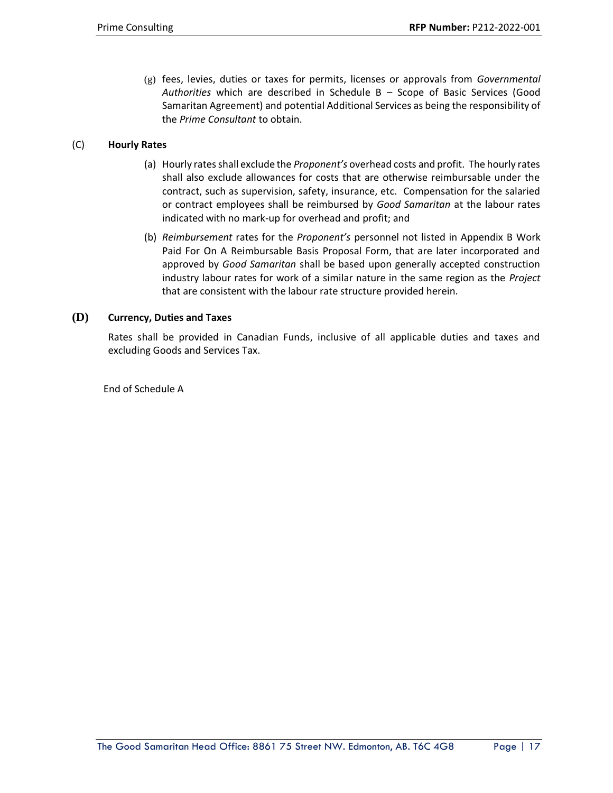(g) fees, levies, duties or taxes for permits, licenses or approvals from *Governmental Authorities* which are described in Schedule B – Scope of Basic Services (Good Samaritan Agreement) and potential Additional Services as being the responsibility of the *Prime Consultant* to obtain.

# (C) **Hourly Rates**

- (a) Hourly rates shall exclude the *Proponent's* overhead costs and profit. The hourly rates shall also exclude allowances for costs that are otherwise reimbursable under the contract, such as supervision, safety, insurance, etc. Compensation for the salaried or contract employees shall be reimbursed by *Good Samaritan* at the labour rates indicated with no mark-up for overhead and profit; and
- (b) *Reimbursement* rates for the *Proponent's* personnel not listed in Appendix B Work Paid For On A Reimbursable Basis Proposal Form, that are later incorporated and approved by *Good Samaritan* shall be based upon generally accepted construction industry labour rates for work of a similar nature in the same region as the *Project* that are consistent with the labour rate structure provided herein.

# **(D) Currency, Duties and Taxes**

Rates shall be provided in Canadian Funds, inclusive of all applicable duties and taxes and excluding Goods and Services Tax.

End of Schedule A